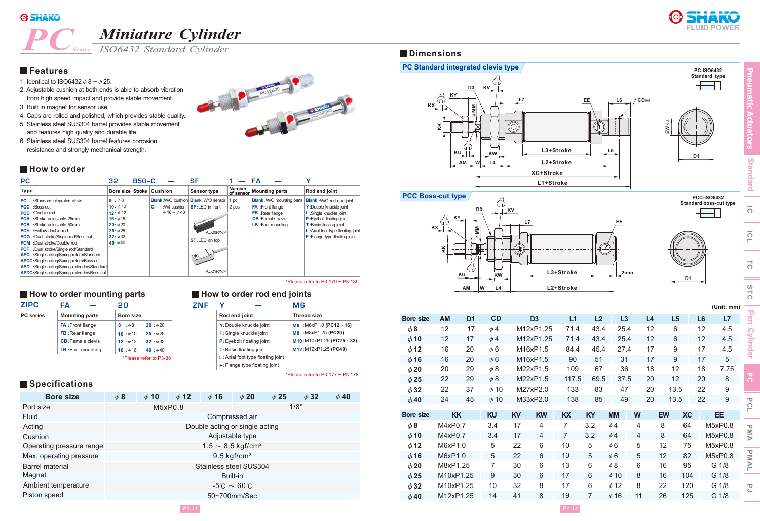

# *PC Miniature Cylinder*

**Dimensions** *ISO6432 Standard Cylinder*

## **Features**

1. Identical to ISO6432  $\phi$  8 ~  $\phi$  25.

*Series*

- 2. Adjustable cushion at both ends is able to absorb vibration from high speed impact and provide stable movement.
- 3. Built in magnet for sensor use.
- 4. Caps are rolled and polished, which provides stable quality.
- 5. Stainless steel SUS304 barrel provides stable movement and features high quality and durable life.
- 6. Stainless steel SUS304 barrel features corrosion resistance and strongly mechanical strength.

#### **How to order**

| РC                                                                                                                                                                                                                                                                                                                                                                                                                                                                                                                                                          | 32                                                                                              | $B50-C$ |         |                                       | SF                                                                                                                                |                     | FΑ                                                                                                     |                                   |                                                                                                                                                                                                                                   |
|-------------------------------------------------------------------------------------------------------------------------------------------------------------------------------------------------------------------------------------------------------------------------------------------------------------------------------------------------------------------------------------------------------------------------------------------------------------------------------------------------------------------------------------------------------------|-------------------------------------------------------------------------------------------------|---------|---------|---------------------------------------|-----------------------------------------------------------------------------------------------------------------------------------|---------------------|--------------------------------------------------------------------------------------------------------|-----------------------------------|-----------------------------------------------------------------------------------------------------------------------------------------------------------------------------------------------------------------------------------|
| <b>Type</b>                                                                                                                                                                                                                                                                                                                                                                                                                                                                                                                                                 | Bore size Stroke                                                                                |         | Cushion |                                       | <b>Sensor type</b>                                                                                                                | Number<br>of sensor | <b>Mounting parts</b>                                                                                  |                                   | Rod end joint                                                                                                                                                                                                                     |
| :Standard integrated clevis<br>РC<br>:Boss-cut<br><b>PCC</b><br>:Double rod<br><b>PCD</b><br><b>PCA</b> :Stroke adjustable 25mm<br>:Stroke adjustable 50mm<br><b>PCB</b><br><b>PCH</b> : Hollow double rod<br><b>PCG</b> :Dual stroke/Single rod/Boss-cut<br>:Dual stroke/Double rod<br><b>PCM</b><br>:Dual stroke/Single rod/Standard<br><b>PCF</b><br><b>APC</b> :Single acting/Spring return/Standard<br><b>APCC:</b> Single acting/Spring return/Boss-cut<br>APD :Single acting/Spring extended/Standard<br>APDC:Single acting/Spring extended/Boss-cut | 8:48<br>10: $\phi$ 10<br>$12: \phi 12$<br>$16: \phi 16$<br>20:620<br>25:625<br>32:432<br>40:440 |         | c       | :W/I cushion<br>$\phi$ 16 ~ $\phi$ 40 | <b>Blank: W/O cushion Blank: W/O sensor</b><br><b>SF:LED</b> in front<br>STANG R. HA<br>AL-20R/N/P<br>ST:LED on top<br>AL-21R/N/P | pc<br>2 pcs         | <b>FA</b> : Front flange<br><b>FB</b> : Rear flange<br><b>CB</b> : Female clevis<br>LB : Foot mounting | <b>Blank</b> : W/O mounting parts | <b>Blank</b> : W/O rod end joint<br>Y: Double knuckle joint<br>:Single knuckle joint<br>P: Eyebolt floating joint<br><b>T:</b> Basic floating joint<br>L: Axial foot type floating joint<br><b>F</b> : Flange type floating joint |

#### **How to order mounting parts**

| <b>ZIPC</b>      | FΔ                       | 20               |                        |
|------------------|--------------------------|------------------|------------------------|
| <b>PC</b> series | <b>Mounting parts</b>    | <b>Bore size</b> |                        |
|                  | <b>FA: Front flange</b>  | 8: $\phi$ 8      | 20:620                 |
|                  | <b>FB</b> : Rear flange  | 10:610           | 25:625                 |
|                  | <b>CB:</b> Female clevis | 12:612           | 32 : 632               |
|                  | LB: Foot mounting        | 16:416           | 40:040                 |
|                  |                          |                  | *Please refer to P3-38 |

#### **How to order rod end joints**

| ZNF |                                                                                                                                             | M6                                                        |
|-----|---------------------------------------------------------------------------------------------------------------------------------------------|-----------------------------------------------------------|
|     | Rod end joint                                                                                                                               | <b>Thread size</b>                                        |
|     | Y: Double knuckle joint<br>I: Single knuckle joint                                                                                          | M6 : M6xP1.0 (PC12 $\cdot$ 16)<br>M8 : M8xP1.25 (PC20)    |
|     | <b>P:</b> Eyebolt floating joint<br><b>T:</b> Basic floating joint<br>L: Axial foot type floating joint<br>$F$ : Flange type floating joint | $M10: M10xP1.25 (PC25 \cdot 32)$<br>M12: M12xP1.25 (PC40) |

\*Please refer to P3-177  $\sim$  P3-178

### **Specifications**

| <b>Bore size</b>         | $\phi$ 8               | $\phi$ 10 | $\phi$ 12 | $\phi$ 16                        | $\phi$ 20       | $\phi$ 25 | $\phi$ 32 | $\phi$ 40 |
|--------------------------|------------------------|-----------|-----------|----------------------------------|-----------------|-----------|-----------|-----------|
| Port size                |                        | M5xP0.8   |           |                                  |                 | 1/8"      |           |           |
| Fluid                    |                        |           |           | Compressed air                   |                 |           |           |           |
| Acting                   |                        |           |           | Double acting or single acting   |                 |           |           |           |
| Cushion                  |                        |           |           |                                  | Adjustable type |           |           |           |
| Operating pressure range |                        |           |           | $1.5 \sim 8.5 \,\text{kgf/cm}^2$ |                 |           |           |           |
| Max. operating pressure  |                        |           |           | $9.5$ kgf/cm <sup>2</sup>        |                 |           |           |           |
| <b>Barrel material</b>   |                        |           |           | Stainless steel SUS304           |                 |           |           |           |
| Magnet                   | Built-in               |           |           |                                  |                 |           |           |           |
| Ambient temperature      | $-5^{\circ}$ C ~ 60 °C |           |           |                                  |                 |           |           |           |
| Piston speed             | 50~700mm/Sec           |           |           |                                  |                 |           |           |           |







| D <sub>1</sub> |  |
|----------------|--|

**Standard boss-cut type**

|                  | KK        | ึั             |           | $\bigoplus$ |                |                |      |           |                |           |                |                |                  | $\bigcirc$<br>Ë    |
|------------------|-----------|----------------|-----------|-------------|----------------|----------------|------|-----------|----------------|-----------|----------------|----------------|------------------|--------------------|
|                  |           | KU             | <b>KW</b> |             |                | L3+Stroke      |      |           | 2mm            |           | D <sub>1</sub> |                |                  | $\frac{1}{\Omega}$ |
|                  |           | AM             | L4<br>W   |             |                | L2+Stroke      |      |           |                |           |                |                |                  | STC                |
|                  |           |                |           |             |                |                |      |           |                |           |                |                | (Unit: mm)       |                    |
| <b>Bore size</b> | <b>AM</b> | D <sub>1</sub> | CD        |             | D <sub>3</sub> | L1             | L2   | L3        |                | L4        | L <sub>5</sub> | L <sub>6</sub> | L7               | $\mathbf{e}$       |
| $\phi$ 8         | 12        | 17             | $\phi$ 4  |             | M12xP1.25      | 71.4           | 43.4 | 25.4      |                | 12        | 6              | 12             | 4.5              |                    |
| $\phi$ 10        | 12        | 17             | $\phi$ 4  |             | M12xP1.25      | 71.4           | 43.4 |           | 25.4           | 12        | 6              | 12             | 4.5              | <b>Cylinder</b>    |
| $\phi$ 12        | 16        | 20             | $\phi$ 6  |             | M16xP1.5       | 84.4           | 45.4 | 27.4      |                | 17        | 9              | 17             | 4.5              |                    |
| $\phi$ 16        | 16        | 20             | $\phi$ 6  |             | M16xP1.5       | 90             | 51   | 31        |                | 17        | 9              | 17             | 5                |                    |
| $\phi$ 20        | 20        | 29             | $\phi$ 8  |             | M22xP1.5       | 109            | 67   |           | 36             | 18        | 12             | 18             | 7.75             |                    |
| $\phi$ 25        | 22        | 29             | $\phi$ 8  |             | M22xP1.5       | 117.5          | 69.5 |           | 37.5           | 20        | 12             | 20             | $\,8\,$          | უ<br>ი             |
| $\phi$ 32        | 22        | 37             | $\phi$ 10 |             | M27xP2.0       | 133            | 83   | 47        |                | 20        | 13.5           | 22             | $\boldsymbol{9}$ |                    |
| $\phi$ 40        | 24        | 45             | $\phi$ 10 |             | M33xP2.0       | 138            | 85   |           | 49             | 20        | 13.5           | 22             | $9\,$            | DC                 |
| <b>Bore size</b> | <b>KK</b> |                | <b>KU</b> | KV          | <b>KW</b>      | KX             | KY   | <b>MM</b> | W              | <b>EW</b> | <b>XC</b>      |                | EE               | г                  |
| $\phi$ 8         | M4xP0.7   |                | 3.4       | 17          | $\overline{4}$ | $\overline{7}$ | 3.2  | $\phi$ 4  | $\overline{4}$ | 8         | 64             |                | M5xP0.8          |                    |
| $\phi$ 10        | M4xP0.7   |                | 3.4       | 17          | 4              | $\overline{7}$ | 3.2  | $\phi$ 4  | $\overline{4}$ | 8         | 64             |                | M5xP0.8          | <b>PMA</b>         |
| $\phi$ 12        | M6xP1.0   |                | 5         | 22          | 6              | 10             | 5    | $\phi$ 6  | 5              | 12        | 75             |                | M5xP0.8          |                    |
| $\phi$ 16        | M6xP1.0   |                | 5         | 22          | $6\phantom{1}$ | 10             | 5    | $\phi$ 6  | 5              | 12        | 82             |                | M5xP0.8          |                    |
| $\phi$ 20        | M8xP1.25  |                | 7         | 30          | 6              | 13             | 6    | $\phi$ 8  | 6              | 16        | 95             |                | G 1/8            | <b>PMAL</b>        |
| $\phi$ 25        | M10xP1.25 |                | 9         | 30          | 6              | 17             | 6    | $\phi$ 10 | 8              | 16        | 104            |                | G 1/8            |                    |
| $\phi$ 32        | M10xP1.25 |                | 10        | 32          | 8              | 17             | 6    | $\phi$ 12 | 8              | 22        | 120            |                | G 1/8            | PJ                 |
| $\phi$ 40        | M12xP1.25 |                | 14        | 41          | 8              | 19             | 7    | $\phi$ 16 | 11             | 26        | 125            |                | G 1/8            |                    |



**Pneumatic Actuators**

**Standard**

**Standard** 

 $\overline{O}$ 

 $\overline{\Omega}$ 

 $\overline{c}$ 

STC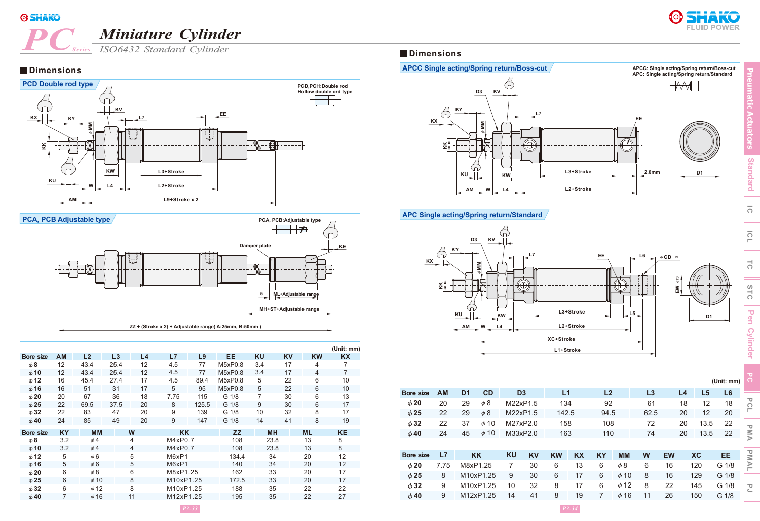

# **PC** *Miniature Cylinder*<br>*PC series ISO6432 Standard Cylinder*



**Pneumatic Actuators**

**Standard**

Standard

**IC**

 $\overline{O}$ 

 $\overline{c}$ 

STC

Pen Cylinder

*Series* **Dimensions** *ISO6432 Standard Cylinder*

### **Dimensions**





|                  |                   |                |      |                   |           |       |                  |           |           |           | (Unit: mm)        |
|------------------|-------------------|----------------|------|-------------------|-----------|-------|------------------|-----------|-----------|-----------|-------------------|
| <b>Bore size</b> | <b>AM</b>         | L <sub>2</sub> | L3   | L <sub>4</sub>    | L7        | L9    | EE               | <b>KU</b> | <b>KV</b> | <b>KW</b> | <b>KX</b>         |
| $\phi$ 8         | $12 \overline{ }$ | 43.4           | 25.4 | $12 \overline{ }$ | 4.5       | 77    | M5xP0.8          | 3.4       | 17        | 4         | 7                 |
| $\phi$ 10        | 12                | 43.4           | 25.4 | 12                | 4.5       | 77    | M5xP0.8          | 3.4       | 17        | 4         | 7                 |
| $\phi$ 12        | 16                | 45.4           | 27.4 | 17                | 4.5       | 89.4  | M5xP0.8          | 5         | 22        | 6         | 10                |
| $\phi$ 16        | 16                | 51             | 31   | 17                | 5         | 95    | M5xP0.8          | 5         | 22        | 6         | 10                |
| $\phi$ 20        | 20                | 67             | 36   | 18                | 7.75      | 115   | G 1/8            | 7         | 30        | 6         | 13                |
| $\phi$ 25        | 22                | 69.5           | 37.5 | 20                | 8         | 125.5 | G 1/8            | 9         | 30        | 6         | 17                |
| $\phi$ 32        | 22                | 83             | 47   | 20                | 9         | 139   | G <sub>1/8</sub> | 10        | 32        | 8         | 17                |
| $\phi$ 40        | 24                | 85             | 49   | 20                | 9         | 147   | G 1/8            | 14        | 41        | 8         | 19                |
| Bore size        | <b>KY</b>         | <b>MM</b>      |      | W                 | <b>KK</b> |       | <b>ZZ</b>        | <b>MH</b> |           | <b>ML</b> | <b>KE</b>         |
| $\phi$ 8         | 3.2               | $\phi$ 4       |      | 4                 | M4xP0.7   |       | 108              | 23.8      |           | 13        | 8                 |
| $\phi$ 10        | 3.2               | $\phi$ 4       |      | 4                 | M4xP0.7   |       | 108              | 23.8      |           | 13        | 8                 |
| $\phi$ 12        | 5                 | $\phi$ 6       |      | 5                 | M6xP1     |       | 134.4            | 34        |           | 20        | $12 \overline{ }$ |
| $\phi$ 16        | 5                 | $\phi$ 6       |      | 5                 | M6xP1     |       | 140              | 34        |           | 20        | 12                |
| $\phi$ 20        | 6                 | $\phi$ 8       |      | 6                 | M8xP1.25  |       | 162              | 33        |           | 20        | 17                |
| $\phi$ 25        | 6                 | $\phi$ 10      |      | 8                 | M10xP1.25 |       | 172.5            | 33        |           | 20        | 17                |
| $\phi$ 32        | 6                 | $\phi$ 12      |      | 8                 | M10xP1.25 |       | 188              | 35        |           | 22        | 22                |
| $\phi$ 40        |                   | $\phi$ 16      |      | 11                | M12xP1.25 |       | 195              | 35        |           | 22        | 27                |
|                  |                   |                |      |                   |           |       |                  |           |           |           |                   |



#### **APC Single acting/Spring return/Standard**



|            | $\Omega$ |
|------------|----------|
|            | ನ        |
|            | STC      |
| 1          |          |
| (Unit: mm) |          |
| L6         |          |
| 18         |          |
| 20         |          |
| 5<br>22    |          |
| 5<br>22    |          |
|            |          |
| EΕ         |          |
| 1/8<br>G   |          |
| G 1/8      |          |

| <b>Bore size</b> | <b>AM</b> | D <sub>1</sub> | CD        | D <sub>3</sub> |           | L1        |    | L2        |           | L3   |           | L4 | L <sub>5</sub> | L <sub>6</sub> |                   |
|------------------|-----------|----------------|-----------|----------------|-----------|-----------|----|-----------|-----------|------|-----------|----|----------------|----------------|-------------------|
| $\phi$ 20        | 20        | 29             | $\phi$ 8  | M22xP1.5       |           | 134       |    | 92        |           | 61   |           | 18 | 12             | 18             | DC                |
| $\phi$ 25        | 22        | 29             | $\phi$ 8  | M22xP1.5       |           | 142.5     |    | 94.5      |           | 62.5 |           | 20 | 12             | 20             | п                 |
| $\phi$ 32        | 22        | 37             | $\phi$ 10 | M27xP2.0       |           | 158       |    | 108       |           | 72   |           | 20 | 13.5           | 22             | Δ                 |
| $\phi$ 40        | 24        | 45             | $\phi$ 10 | M33xP2.0       |           | 163       |    | 110       |           | 74   |           | 20 | 13.5           | 22             | <b>MA</b>         |
|                  |           |                |           |                |           |           |    |           |           |      |           |    |                |                |                   |
| <b>Bore size</b> | L7        |                | <b>KK</b> | <b>KU</b>      | <b>KV</b> | <b>KW</b> | KX | <b>KY</b> | <b>MM</b> | W    | <b>EW</b> |    | <b>XC</b>      | EE             | $\overline{\leq}$ |
| $\phi$ 20        | 7.75      | M8xP1.25       |           | 7              | 30        | 6         | 13 | 6         | $\phi$ 8  | 6    | 16        |    | 120            | G 1/8          | $\geq$            |
| $\phi$ 25        | 8         |                | M10xP1.25 | 9              | 30        | 6         | 17 | 6         | $\phi$ 10 | 8    | 16        |    | 129            | G 1/8          |                   |
| $\phi$ 32        | 9         |                | M10xP1.25 | 10             | 32        | 8         | 17 | 6         | $\phi$ 12 | 8    | 22        |    | 145            | G 1/8          | こ                 |
| $\phi$ 40        | 9         |                | M12xP1.25 | 14             | 41        | 8         | 19 | 7         | $\phi$ 16 | 11   | 26        |    | 150            | G 1/8          |                   |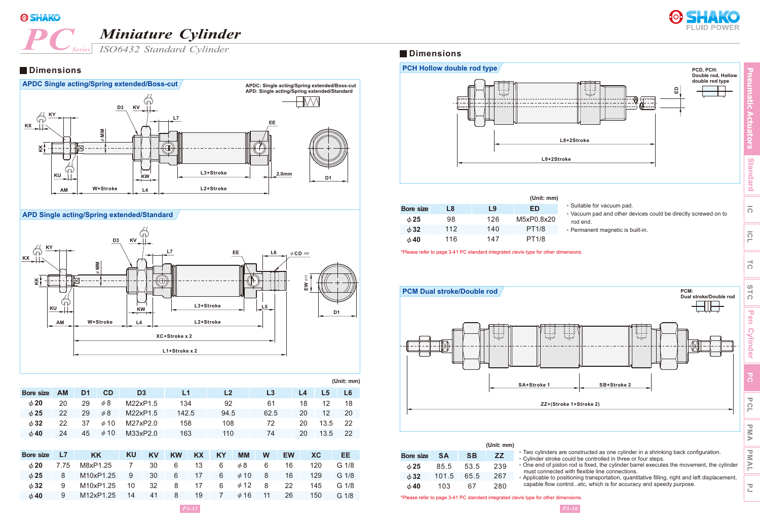# **PC** *Miniature Cylinder*<br>*PC series ISO6432 Standard Cylinder*



*Series* **Dimensions** *ISO6432 Standard Cylinder*

#### **Dimensions**



#### **APD Single acting/Spring extended/Standard**



|                  |           |                |           |                |       |                |      |    |                | (Unit: mm) |
|------------------|-----------|----------------|-----------|----------------|-------|----------------|------|----|----------------|------------|
| <b>Bore size</b> | <b>AM</b> | D <sub>1</sub> | CD        | D <sub>3</sub> | L1    | L <sub>2</sub> | L3   | L4 | L <sub>5</sub> | L6         |
| $\phi$ 20        | 20        | 29             | $\phi$ 8  | M22xP1.5       | 134   | 92             | 61   | 18 | 12             | 18         |
| $\phi$ 25        | 22        | 29             | $\phi$ 8  | M22xP1.5       | 142.5 | 94.5           | 62.5 | 20 | 12             | 20         |
| $\phi$ 32        | 22        | 37             | $\phi$ 10 | M27xP2.0       | 158   | 108            | 72   | 20 | 13.5           | -22        |
| $\phi$ 40        | 24        | 45             | $\phi$ 10 | M33xP2.0       | 163   | 110            | 74   | 20 | 13.5           | -22        |
|                  |           |                |           |                |       |                |      |    |                |            |

| <b>Bore size</b> | <b>L7</b> | <b>KK</b>                                 | KU L | KV KW KX KY     |      | <b>MM</b>                           | <b>W</b> | <b>EW</b> | XC.       | EE.   |
|------------------|-----------|-------------------------------------------|------|-----------------|------|-------------------------------------|----------|-----------|-----------|-------|
| $\phi$ 20        |           | 7.75 M8xP1.25 7 30                        |      | $6\overline{6}$ | 13 6 | $\phi$ 8 6                          |          | 16        | 120       | G 1/8 |
| $\phi$ 25        |           | 8 M10xP1.25 9 30                          |      |                 |      | $6 \t 17 \t 6 \t \t 410 \t 8 \t 16$ |          |           | 129       | G 1/8 |
| $\phi$ 32        |           | 9 M10xP1.25 10 32 8 17 6 <i>¢</i> 12 8 22 |      |                 |      |                                     |          |           | 145 G 1/8 |       |
| $\phi$ 40        |           | M12xP1.25 14 41                           |      | 8               |      | 19 7 $\phi$ 16 11 26                |          |           | 150       | G 1/8 |



|                  |     |     | (Unit: mm)   |
|------------------|-----|-----|--------------|
| <b>Bore size</b> | L8  | L9  | ED           |
| $\phi$ 25        | 98  | 126 | M5xP0.8x20   |
| $\phi$ 32        | 112 | 140 | <b>PT1/8</b> |
| $\phi$ 40        | 116 | 147 | <b>PT1/8</b> |

| <b>ED</b> | • Suitable for vacuum pad.                                                 |
|-----------|----------------------------------------------------------------------------|
| P0.8x20:  | • Vacuum pad and other devices could be directly screwed on to<br>rod end. |
| PT1/8     | • Permanent magnetic is built-in.                                          |
| 10 הדר    |                                                                            |

\*Please refer to page 3-41 PC standard integrated clevis type for other dimensions.



‧Applicable to positioning transportation, quantitative filling, right and left displacement, capable flow control...etc, which is for accuracy and speedy purpose.

\*Please refer to page 3-41 PC standard integrated clevis type for other dimensions.

280

67

φ**40**

103

 $\overline{O}$ 

 $\overline{\mathsf{L}}$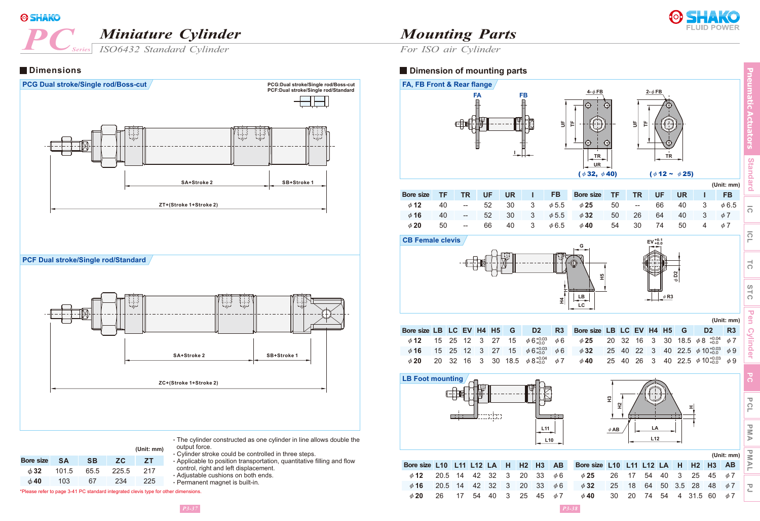## **PCC** *Miniature Cylinder*

**Dimensions**

*Series*



*For ISO air Cylinder*

#### **Dimension of mounting parts**



**Standard**



*ISO6432 Standard Cylinder*

**SA SB ZC ZT** 101.5 103 65.5 67 225.5 234 217 225 φ**32** φ**40 Bore size**

‧Cylinder stroke could be controlled in three steps. ‧Applicable to position transportation, quantitative filling and flow control, right and left displacement. ‧Adjustable cushions on both ends. ‧Permanent magnet is built-in.

\*Please refer to page 3-41 PC standard integrated clevis type for other dimensions.